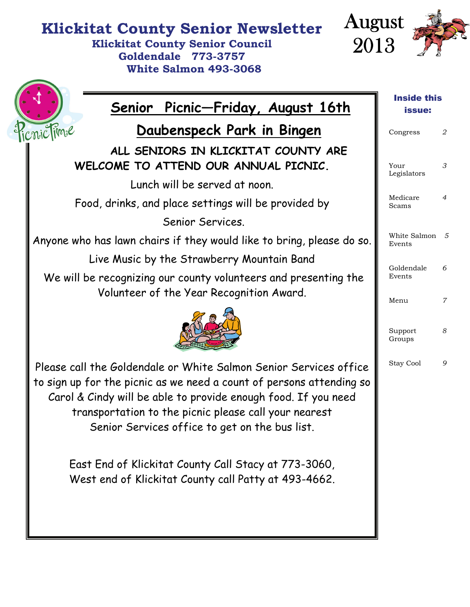## **Klickitat County Senior Newsletter**

**Klickitat County Senior Council Goldendale 773-3757 White Salmon 493-3068** 



| <u>Senior Picnic-Friday, August 16th</u>                                                                                                                                                                                                                                                                                                                                                                                               | <b>Inside this</b><br>issue: |                     |
|----------------------------------------------------------------------------------------------------------------------------------------------------------------------------------------------------------------------------------------------------------------------------------------------------------------------------------------------------------------------------------------------------------------------------------------|------------------------------|---------------------|
| licnic lime<br>Daubenspeck Park in Bingen                                                                                                                                                                                                                                                                                                                                                                                              | Congress                     | 2                   |
| ALL SENIORS IN KLICKITAT COUNTY ARE<br>WELCOME TO ATTEND OUR ANNUAL PICNIC.                                                                                                                                                                                                                                                                                                                                                            | Your<br>Legislators          | 3                   |
| Lunch will be served at noon.                                                                                                                                                                                                                                                                                                                                                                                                          |                              |                     |
| Food, drinks, and place settings will be provided by                                                                                                                                                                                                                                                                                                                                                                                   | Medicare<br>Scams            | $\overline{4}$      |
| Senior Services.                                                                                                                                                                                                                                                                                                                                                                                                                       |                              |                     |
| Anyone who has lawn chairs if they would like to bring, please do so.                                                                                                                                                                                                                                                                                                                                                                  | White Salmon 5<br>Events     |                     |
| Live Music by the Strawberry Mountain Band                                                                                                                                                                                                                                                                                                                                                                                             |                              |                     |
| We will be recognizing our county volunteers and presenting the<br>Volunteer of the Year Recognition Award.                                                                                                                                                                                                                                                                                                                            | Goldendale<br>Events         | 6                   |
|                                                                                                                                                                                                                                                                                                                                                                                                                                        | Menu<br>Support<br>Groups    | $\overline{7}$<br>8 |
| Please call the Goldendale or White Salmon Senior Services office<br>to sign up for the picnic as we need a count of persons attending so<br>Carol & Cindy will be able to provide enough food. If you need<br>transportation to the picnic please call your nearest<br>Senior Services office to get on the bus list.<br>East End of Klickitat County Call Stacy at 773-3060,<br>West end of Klickitat County call Patty at 493-4662. | Stay Cool                    | 9                   |
|                                                                                                                                                                                                                                                                                                                                                                                                                                        |                              |                     |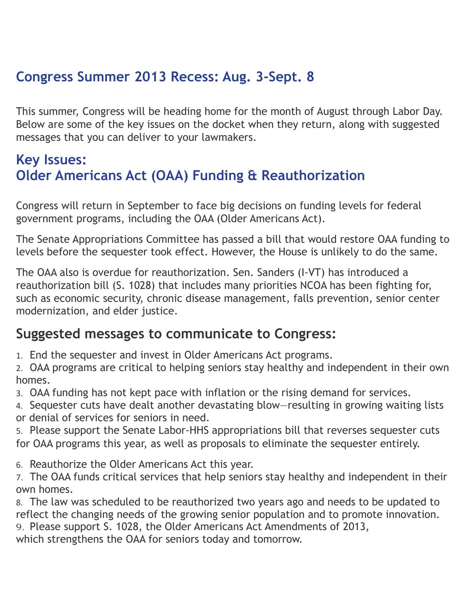## **Congress Summer 2013 Recess: Aug. 3-Sept. 8**

This summer, Congress will be heading home for the month of August through Labor Day. Below are some of the key issues on the docket when they return, along with suggested messages that you can deliver to your lawmakers.

## **Key Issues: Older Americans Act (OAA) Funding & Reauthorization**

Congress will return in September to face big decisions on funding levels for federal government programs, including the OAA (Older Americans Act).

The Senate Appropriations Committee has passed a bill that would restore OAA funding to levels before the sequester took effect. However, the House is unlikely to do the same.

The OAA also is overdue for reauthorization. Sen. Sanders (I-VT) has introduced a reauthorization bill (S. 1028) that includes many priorities NCOA has been fighting for, such as economic security, chronic disease management, falls prevention, senior center modernization, and elder justice.

### **Suggested messages to communicate to Congress:**

1. End the sequester and invest in Older Americans Act programs.

2. OAA programs are critical to helping seniors stay healthy and independent in their own homes.

3. OAA funding has not kept pace with inflation or the rising demand for services.

4. Sequester cuts have dealt another devastating blow—resulting in growing waiting lists or denial of services for seniors in need.

5. Please support the Senate Labor-HHS appropriations bill that reverses sequester cuts for OAA programs this year, as well as proposals to eliminate the sequester entirely.

6. Reauthorize the Older Americans Act this year.

7. The OAA funds critical services that help seniors stay healthy and independent in their own homes.

8. The law was scheduled to be reauthorized two years ago and needs to be updated to reflect the changing needs of the growing senior population and to promote innovation. 9. Please support S. 1028, the Older Americans Act Amendments of 2013,

which strengthens the OAA for seniors today and tomorrow.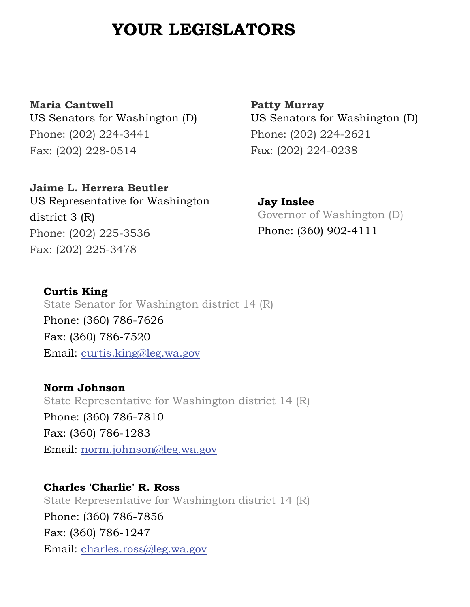## **YOUR LEGISLATORS**

**Maria Cantwell** US Senators for Washington (D) Phone: (202) 224-3441 Fax: (202) 228-0514

**Jaime L. Herrera Beutler** US Representative for Washington district 3 (R) Phone: (202) 225-3536 Fax: (202) 225-3478

**Patty Murray** US Senators for Washington (D) Phone: (202) 224-2621 Fax: (202) 224-0238

**Jay Inslee** Governor of Washington (D) Phone: (360) 902-4111

**Curtis King** State Senator for Washington district 14 (R) Phone: (360) 786-7626 Fax: (360) 786-7520 Email: [curtis.king@leg.wa.gov](mailto:curtis.king@leg.wa.gov) 

**Norm Johnson** State Representative for Washington district 14 (R) Phone: (360) 786-7810 Fax: (360) 786-1283 Email: [norm.johnson@leg.wa.gov](mailto:norm.johnson@leg.wa.gov)

**Charles 'Charlie' R. Ross** State Representative for Washington district 14 (R) Phone: (360) 786-7856 Fax: (360) 786-1247 Email: [charles.ross@leg.wa.gov](mailto:charles.ross@leg.wa.gov)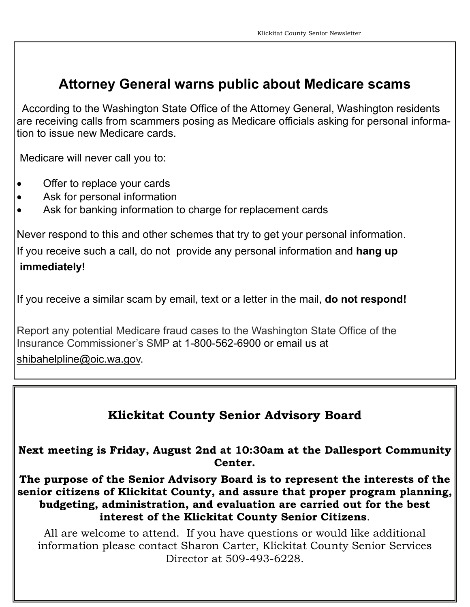## **Attorney General warns public about Medicare scams**

 According to the Washington State Office of the Attorney General, Washington residents are receiving calls from scammers posing as Medicare officials asking for personal information to issue new Medicare cards.

Medicare will never call you to:

- Offer to replace your cards
- Ask for personal information
- Ask for banking information to charge for replacement cards

Never respond to this and other schemes that try to get your personal information. If you receive such a call, do not provide any personal information and **hang up immediately!**

If you receive a similar scam by email, text or a letter in the mail, **do not respond!** 

Report any potential Medicare fraud cases to the Washington State Office of the Insurance Commissioner's SMP at 1-800-562-6900 or email us at

[shibahelpline@oic.wa.gov.](mailto:shibahelpline@oic.wa.gov)

#### **Klickitat County Senior Advisory Board**

**Next meeting is Friday, August 2nd at 10:30am at the Dallesport Community Center.** 

**The purpose of the Senior Advisory Board is to represent the interests of the senior citizens of Klickitat County, and assure that proper program planning, budgeting, administration, and evaluation are carried out for the best interest of the Klickitat County Senior Citizens**.

All are welcome to attend. If you have questions or would like additional information please contact Sharon Carter, Klickitat County Senior Services Director at 509-493-6228.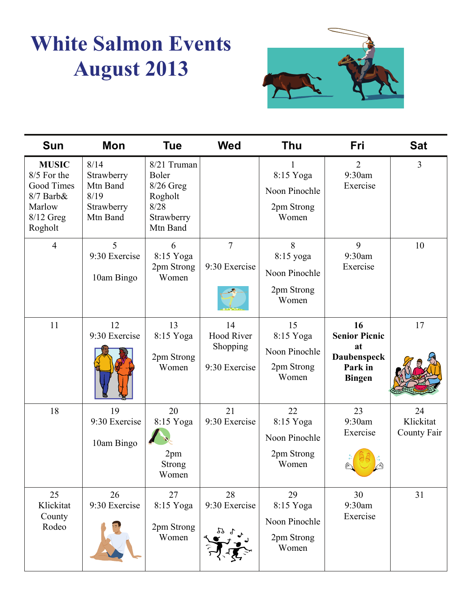## **White Salmon Events August 2013**



| <b>Sun</b>                                                                                    | <b>Mon</b>                                                       | <b>Tue</b>                                                                       | <b>Wed</b>                                           | <b>Thu</b>                                              | Fri                                                                                | <b>Sat</b>                     |
|-----------------------------------------------------------------------------------------------|------------------------------------------------------------------|----------------------------------------------------------------------------------|------------------------------------------------------|---------------------------------------------------------|------------------------------------------------------------------------------------|--------------------------------|
| <b>MUSIC</b><br>8/5 For the<br>Good Times<br>$8/7$ Barb $&$<br>Marlow<br>8/12 Greg<br>Rogholt | 8/14<br>Strawberry<br>Mtn Band<br>8/19<br>Strawberry<br>Mtn Band | 8/21 Truman<br>Boler<br>$8/26$ Greg<br>Rogholt<br>8/28<br>Strawberry<br>Mtn Band |                                                      | 8:15 Yoga<br>Noon Pinochle<br>2pm Strong<br>Women       | $\overline{2}$<br>9:30am<br>Exercise                                               | $\overline{3}$                 |
| $\overline{4}$                                                                                | 5<br>9:30 Exercise<br>10am Bingo                                 | 6<br>8:15 Yoga<br>2pm Strong<br>Women                                            | $\overline{7}$<br>9:30 Exercise                      | 8<br>8:15 yoga<br>Noon Pinochle<br>2pm Strong<br>Women  | 9<br>9:30am<br>Exercise                                                            | 10                             |
| 11                                                                                            | 12<br>9:30 Exercise                                              | 13<br>8:15 Yoga<br>2pm Strong<br>Women                                           | 14<br><b>Hood River</b><br>Shopping<br>9:30 Exercise | 15<br>8:15 Yoga<br>Noon Pinochle<br>2pm Strong<br>Women | 16<br><b>Senior Picnic</b><br>at<br><b>Daubenspeck</b><br>Park in<br><b>Bingen</b> | 17                             |
| 18                                                                                            | 19<br>9:30 Exercise<br>10am Bingo                                | 20<br>8:15 Yoga<br>2pm<br><b>Strong</b><br>Women                                 | 21<br>9:30 Exercise                                  | 22<br>8:15 Yoga<br>Noon Pinochle<br>2pm Strong<br>Women | 23<br>9:30am<br>Exercise                                                           | 24<br>Klickitat<br>County Fair |
| 25<br>Klickitat<br>County<br>Rodeo                                                            | 26<br>9:30 Exercise                                              | 27<br>8:15 Yoga<br>2pm Strong<br>Women                                           | 28<br>9:30 Exercise<br>77                            | 29<br>8:15 Yoga<br>Noon Pinochle<br>2pm Strong<br>Women | 30<br>9:30am<br>Exercise                                                           | 31                             |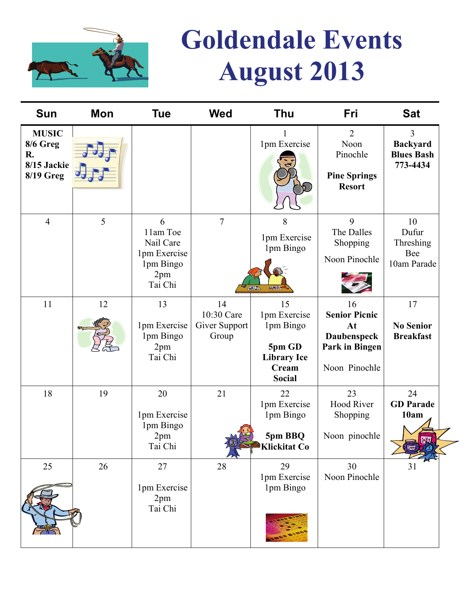

# **Goldendale Events August 2013**

| Sun                                                               | Mon | <b>Tue</b>                                                                | <b>Wed</b>                                 | Thu                                                                                       | Fri                                                                                | <b>Sat</b>                                                         |
|-------------------------------------------------------------------|-----|---------------------------------------------------------------------------|--------------------------------------------|-------------------------------------------------------------------------------------------|------------------------------------------------------------------------------------|--------------------------------------------------------------------|
| <b>MUSIC</b><br>8/6 Greg<br>R.<br>8/15 Jackie<br><b>8/19 Greg</b> |     |                                                                           |                                            | 1pm Exercise                                                                              | $\overline{2}$<br>Noon<br>Pinochle<br><b>Pine Springs</b><br><b>Resort</b>         | $\overline{3}$<br><b>Backyard</b><br><b>Blues Bash</b><br>773-4434 |
| $\overline{4}$                                                    | 5   | 6<br>11am Toe<br>Nail Care<br>1pm Exercise<br>1pm Bingo<br>2pm<br>Tai Chi | $\overline{7}$                             | 8<br>1pm Exercise<br>1pm Bingo<br><b>ATTA</b><br><b>ANA</b>                               | 9<br>The Dalles<br>Shopping<br>Noon Pinochle                                       | 10<br>Dufur<br>Threshing<br>Bee<br>10am Parade                     |
| 11                                                                | 12  | 13<br>1pm Exercise<br>1pm Bingo<br>2pm<br>Tai Chi                         | 14<br>10:30 Care<br>Giver Support<br>Group | 15<br>1pm Exercise<br>1pm Bingo<br>5pm GD<br><b>Library Ice</b><br>Cream<br><b>Social</b> | 16<br><b>Senior Picnic</b><br>At<br>Daubenspeck<br>Park in Bingen<br>Noon Pinochle | 17<br><b>No Senior</b><br><b>Breakfast</b>                         |
| 18                                                                | 19  | 20<br>1pm Exercise<br>1pm Bingo<br>2pm<br>Tai Chi                         | 21<br>A                                    | 22<br>1pm Exercise<br>1pm Bingo<br>5pm BBQ<br><b>Klickitat Co</b>                         | 23<br><b>Hood River</b><br>Shopping<br>Noon pinochle                               | 24<br><b>GD</b> Parade<br>10am<br>$\sqrt{3}$                       |
| 25                                                                | 26  | 27<br>1pm Exercise<br>2pm<br>Tai Chi                                      | 28                                         | 29<br>1pm Exercise<br>1pm Bingo                                                           | 30<br>Noon Pinochle                                                                |                                                                    |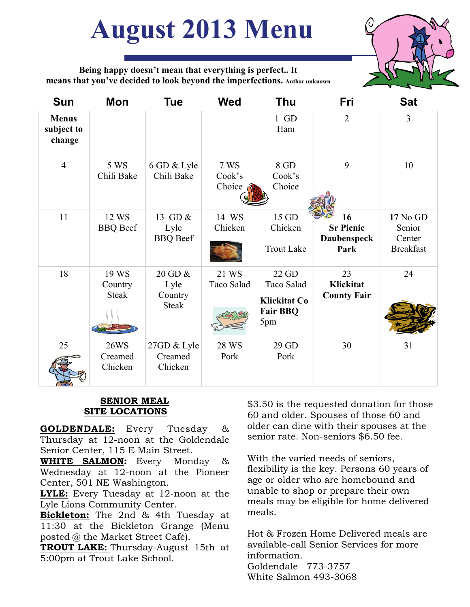# **August 2013 Menu**



**Being happy doesn't mean that everything is perfect.. It means that you've decided to look beyond the imperfections. Author unknown**

| <b>Sun</b>                           | Mon                               | Tue                                        | <b>Wed</b>                                 | Thu                                                                  | Fri                                                  | <b>Sat</b>                                       |
|--------------------------------------|-----------------------------------|--------------------------------------------|--------------------------------------------|----------------------------------------------------------------------|------------------------------------------------------|--------------------------------------------------|
| <b>Menus</b><br>subject to<br>change |                                   |                                            |                                            | $1$ GD<br>Ham                                                        | $\overline{2}$                                       | 3                                                |
| $\overline{4}$                       | 5 WS<br>Chili Bake                | 6 GD & Lyle<br>Chili Bake                  | <b>7 WS</b><br>Cook's<br>Choice $\sqrt{ }$ | 8 GD<br>Cook's<br>Choice                                             | 9                                                    | 10                                               |
| 11                                   | 12 WS<br><b>BBQ</b> Beef          | 13 GD &<br>Lyle<br><b>BBQ</b> Beef         | 14 WS<br>Chicken                           | 15 GD<br>Chicken<br><b>Trout Lake</b>                                | 16<br><b>Sr Picnic</b><br><b>Daubenspeck</b><br>Park | 17 No GD<br>Senior<br>Center<br><b>Breakfast</b> |
| 18                                   | 19 WS<br>Country<br><b>Steak</b>  | 20 GD &<br>Lyle<br>Country<br><b>Steak</b> | 21 WS<br>Taco Salad                        | 22 GD<br>Taco Salad<br><b>Klickitat Co</b><br><b>Fair BBQ</b><br>5pm | 23<br>Klickitat<br><b>County Fair</b>                | 24                                               |
| 25                                   | <b>26WS</b><br>Creamed<br>Chicken | 27GD & Lyle<br>Creamed<br>Chicken          | 28 WS<br>Pork                              | 29 GD<br>Pork                                                        | 30                                                   | 31                                               |

#### **SENIOR MEAL SITE LOCATIONS**

**GOLDENDALE:** Every Tuesday & Thursday at 12-noon at the Goldendale Senior Center, 115 E Main Street.

**WHITE SALMON:** Every Monday & Wednesday at 12-noon at the Pioneer Center, 501 NE Washington.

**LYLE:** Every Tuesday at 12-noon at the Lyle Lions Community Center.

**Bickleton:** The 2nd & 4th Tuesday at 11:30 at the Bickleton Grange (Menu posted @ the Market Street Café).

**TROUT LAKE:** Thursday-August 15th at 5:00pm at Trout Lake School.

\$3.50 is the requested donation for those 60 and older. Spouses of those 60 and older can dine with their spouses at the senior rate. Non-seniors \$6.50 fee.

With the varied needs of seniors, flexibility is the key. Persons 60 years of age or older who are homebound and unable to shop or prepare their own meals may be eligible for home delivered meals.

Hot & Frozen Home Delivered meals are available-call Senior Services for more information. Goldendale 773-3757 White Salmon 493-3068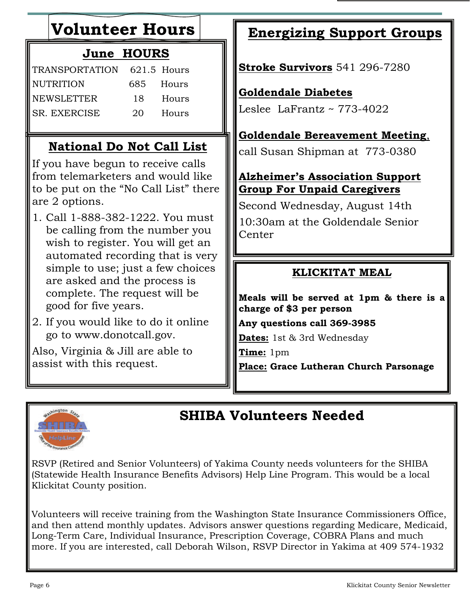## **Volunteer Hours**

### **June HOURS**

| TRANSPORTATION 621.5 Hours |      |           |
|----------------------------|------|-----------|
| NUTRITION                  |      | 685 Hours |
| <b>NEWSLETTER</b>          | 18.  | Hours     |
| SR. EXERCISE               | 20 - | – Hours   |

### **National Do Not Call List**

If you have begun to receive calls from telemarketers and would like to be put on the "No Call List" there are 2 options.

- 1. Call 1-888-382-1222. You must be calling from the number you wish to register. You will get an automated recording that is very simple to use; just a few choices are asked and the process is complete. The request will be good for five years.
- 2. If you would like to do it online go to www.donotcall.gov.

Also, Virginia & Jill are able to assist with this request.

## **Energizing Support Groups**

**Stroke Survivors** 541 296-7280

#### **Goldendale Diabetes**

Leslee La $\text{Frantz} \sim 773 - 4022$ 

#### **Goldendale Bereavement Meeting**,

call Susan Shipman at 773-0380

#### **Alzheimer's Association Support Group For Unpaid Caregivers**

Second Wednesday, August 14th 10:30am at the Goldendale Senior **Center** 

#### **KLICKITAT MEAL**

**Meals will be served at 1pm & there is a charge of \$3 per person**

**Any questions call 369-3985** 

**Dates:** 1st & 3rd Wednesday

**Time:** 1pm

**Place: Grace Lutheran Church Parsonage** 



## **SHIBA Volunteers Needed**

RSVP (Retired and Senior Volunteers) of Yakima County needs volunteers for the SHIBA (Statewide Health Insurance Benefits Advisors) Help Line Program. This would be a local Klickitat County position.

Volunteers will receive training from the Washington State Insurance Commissioners Office, and then attend monthly updates. Advisors answer questions regarding Medicare, Medicaid, Long-Term Care, Individual Insurance, Prescription Coverage, COBRA Plans and much more. If you are interested, call Deborah Wilson, RSVP Director in Yakima at 409 574-1932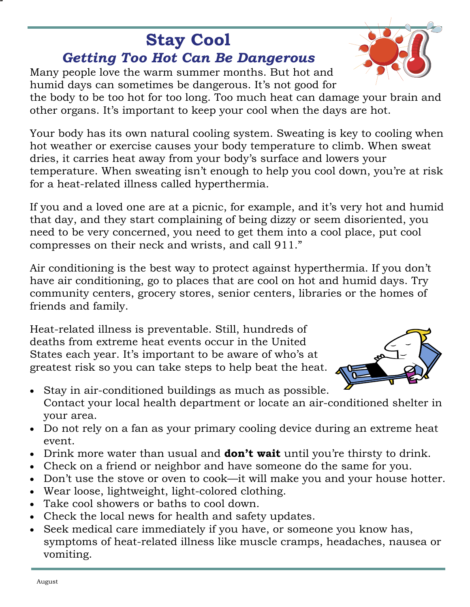## **Stay Cool** *Getting Too Hot Can Be Dangerous*

Many people love the warm summer months. But hot and humid days can sometimes be dangerous. It's not good for

the body to be too hot for too long. Too much heat can damage your brain and other organs. It's important to keep your cool when the days are hot.

Your body has its own natural cooling system. Sweating is key to cooling when hot weather or exercise causes your body temperature to climb. When sweat dries, it carries heat away from your body's surface and lowers your temperature. When sweating isn't enough to help you cool down, you're at risk for a heat-related illness called hyperthermia.

If you and a loved one are at a picnic, for example, and it's very hot and humid that day, and they start complaining of being dizzy or seem disoriented, you need to be very concerned, you need to get them into a cool place, put cool compresses on their neck and wrists, and call 911."

Air conditioning is the best way to protect against hyperthermia. If you don't have air conditioning, go to places that are cool on hot and humid days. Try community centers, grocery stores, senior centers, libraries or the homes of friends and family.

Heat-related illness is preventable. Still, hundreds of deaths from extreme heat events occur in the United States each year. It's important to be aware of who's at greatest risk so you can take steps to help beat the heat.



- Stay in air-conditioned buildings as much as possible. Contact your local health department or locate an air-conditioned shelter in your area.
- Do not rely on a fan as your primary cooling device during an extreme heat event.
- Drink more water than usual and **don't wait** until you're thirsty to drink.
- Check on a friend or neighbor and have someone do the same for you.
- Don't use the stove or oven to cook—it will make you and your house hotter.
- Wear loose, lightweight, light-colored clothing.
- Take cool showers or baths to cool down.
- Check the local news for health and safety updates.
- Seek medical care immediately if you have, or someone you know has, symptoms of heat-related illness like muscle cramps, headaches, nausea or vomiting.